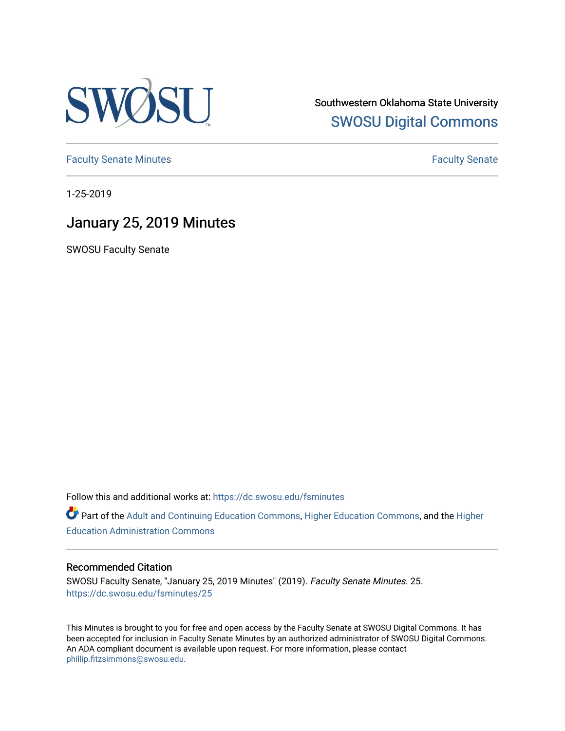

Southwestern Oklahoma State University [SWOSU Digital Commons](https://dc.swosu.edu/) 

[Faculty Senate Minutes](https://dc.swosu.edu/fsminutes) **Faculty** Senate Minutes

1-25-2019

# January 25, 2019 Minutes

SWOSU Faculty Senate

Follow this and additional works at: [https://dc.swosu.edu/fsminutes](https://dc.swosu.edu/fsminutes?utm_source=dc.swosu.edu%2Ffsminutes%2F25&utm_medium=PDF&utm_campaign=PDFCoverPages) 

Part of the [Adult and Continuing Education Commons,](http://network.bepress.com/hgg/discipline/1375?utm_source=dc.swosu.edu%2Ffsminutes%2F25&utm_medium=PDF&utm_campaign=PDFCoverPages) [Higher Education Commons,](http://network.bepress.com/hgg/discipline/1245?utm_source=dc.swosu.edu%2Ffsminutes%2F25&utm_medium=PDF&utm_campaign=PDFCoverPages) and the [Higher](http://network.bepress.com/hgg/discipline/791?utm_source=dc.swosu.edu%2Ffsminutes%2F25&utm_medium=PDF&utm_campaign=PDFCoverPages) [Education Administration Commons](http://network.bepress.com/hgg/discipline/791?utm_source=dc.swosu.edu%2Ffsminutes%2F25&utm_medium=PDF&utm_campaign=PDFCoverPages) 

#### Recommended Citation

SWOSU Faculty Senate, "January 25, 2019 Minutes" (2019). Faculty Senate Minutes. 25. [https://dc.swosu.edu/fsminutes/25](https://dc.swosu.edu/fsminutes/25?utm_source=dc.swosu.edu%2Ffsminutes%2F25&utm_medium=PDF&utm_campaign=PDFCoverPages) 

This Minutes is brought to you for free and open access by the Faculty Senate at SWOSU Digital Commons. It has been accepted for inclusion in Faculty Senate Minutes by an authorized administrator of SWOSU Digital Commons. An ADA compliant document is available upon request. For more information, please contact [phillip.fitzsimmons@swosu.edu](mailto:phillip.fitzsimmons@swosu.edu).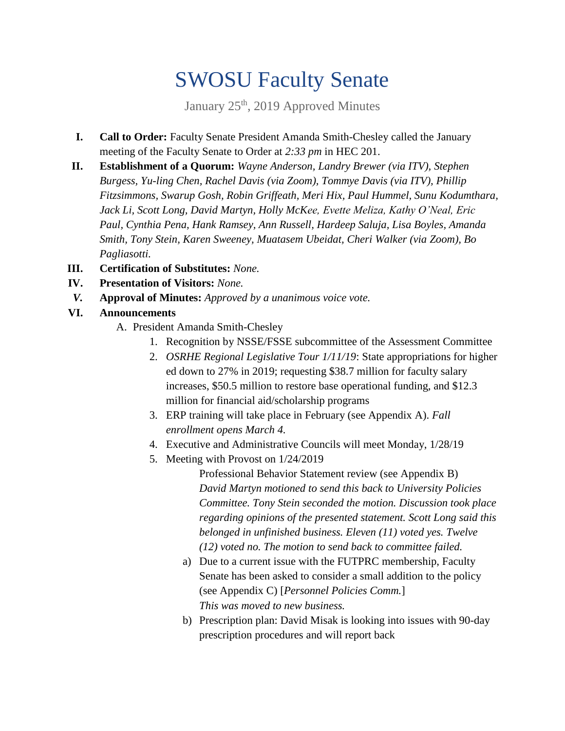# SWOSU Faculty Senate

January 25<sup>th</sup>, 2019 Approved Minutes

- **I. Call to Order:** Faculty Senate President Amanda Smith-Chesley called the January meeting of the Faculty Senate to Order at *2:33 pm* in HEC 201.
- **II. Establishment of a Quorum:** *Wayne Anderson, Landry Brewer (via ITV), Stephen Burgess, Yu-ling Chen, Rachel Davis (via Zoom), Tommye Davis (via ITV), Phillip Fitzsimmons, Swarup Gosh, Robin Griffeath, Meri Hix, Paul Hummel, Sunu Kodumthara, Jack Li, Scott Long, David Martyn, Holly McKee, Evette Meliza, Kathy O'Neal, Eric Paul, Cynthia Pena, Hank Ramsey, Ann Russell, Hardeep Saluja, Lisa Boyles, Amanda Smith, Tony Stein, Karen Sweeney, Muatasem Ubeidat, Cheri Walker (via Zoom), Bo Pagliasotti.*
- **III. Certification of Substitutes:** *None.*
- **IV. Presentation of Visitors:** *None.*
- *V.* **Approval of Minutes:** *Approved by a unanimous voice vote.*
- **VI. Announcements**
	- A. President Amanda Smith-Chesley
		- 1. Recognition by NSSE/FSSE subcommittee of the Assessment Committee
		- 2. *OSRHE Regional Legislative Tour 1/11/19*: State appropriations for higher ed down to 27% in 2019; requesting \$38.7 million for faculty salary increases, \$50.5 million to restore base operational funding, and \$12.3 million for financial aid/scholarship programs
		- 3. ERP training will take place in February (see Appendix A). *Fall enrollment opens March 4.*
		- 4. Executive and Administrative Councils will meet Monday, 1/28/19
		- 5. Meeting with Provost on 1/24/2019

Professional Behavior Statement review (see Appendix B) *David Martyn motioned to send this back to University Policies Committee. Tony Stein seconded the motion. Discussion took place regarding opinions of the presented statement. Scott Long said this belonged in unfinished business. Eleven (11) voted yes. Twelve (12) voted no. The motion to send back to committee failed.* 

- a) Due to a current issue with the FUTPRC membership, Faculty Senate has been asked to consider a small addition to the policy (see Appendix C) [*Personnel Policies Comm.*] *This was moved to new business.*
- b) Prescription plan: David Misak is looking into issues with 90-day prescription procedures and will report back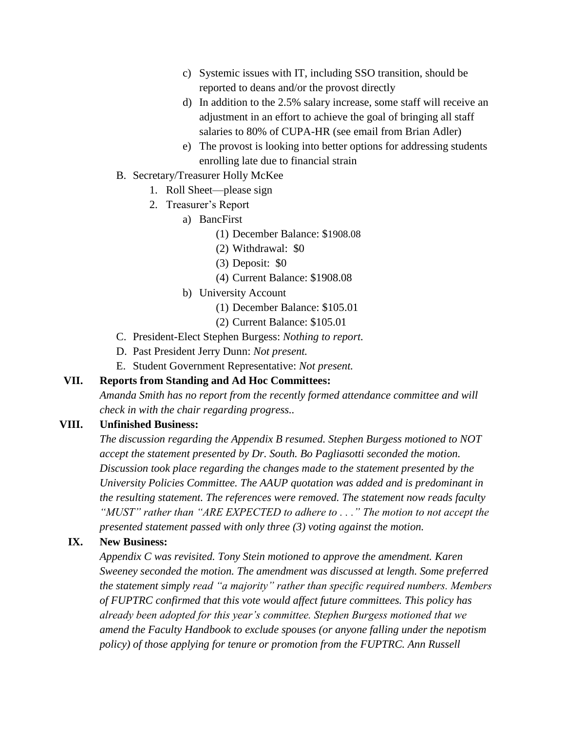- c) Systemic issues with IT, including SSO transition, should be reported to deans and/or the provost directly
- d) In addition to the 2.5% salary increase, some staff will receive an adjustment in an effort to achieve the goal of bringing all staff salaries to 80% of CUPA-HR (see email from Brian Adler)
- e) The provost is looking into better options for addressing students enrolling late due to financial strain
- B. Secretary/Treasurer Holly McKee
	- 1. Roll Sheet—please sign
	- 2. Treasurer's Report
		- a) BancFirst
			- (1) December Balance: \$1908.08
			- (2) Withdrawal: \$0
			- (3) Deposit: \$0
			- (4) Current Balance: \$1908.08
		- b) University Account
			- (1) December Balance: \$105.01
			- (2) Current Balance: \$105.01
- C. President-Elect Stephen Burgess: *Nothing to report.*
- D. Past President Jerry Dunn: *Not present.*
- E. Student Government Representative: *Not present.*

## **VII. Reports from Standing and Ad Hoc Committees:**

*Amanda Smith has no report from the recently formed attendance committee and will check in with the chair regarding progress..* 

## **VIII. Unfinished Business:**

*The discussion regarding the Appendix B resumed. Stephen Burgess motioned to NOT accept the statement presented by Dr. South. Bo Pagliasotti seconded the motion. Discussion took place regarding the changes made to the statement presented by the University Policies Committee. The AAUP quotation was added and is predominant in the resulting statement. The references were removed. The statement now reads faculty "MUST" rather than "ARE EXPECTED to adhere to . . ." The motion to not accept the presented statement passed with only three (3) voting against the motion.* 

# **IX. New Business:**

*Appendix C was revisited. Tony Stein motioned to approve the amendment. Karen Sweeney seconded the motion. The amendment was discussed at length. Some preferred the statement simply read "a majority" rather than specific required numbers. Members of FUPTRC confirmed that this vote would affect future committees. This policy has already been adopted for this year's committee. Stephen Burgess motioned that we amend the Faculty Handbook to exclude spouses (or anyone falling under the nepotism policy) of those applying for tenure or promotion from the FUPTRC. Ann Russell*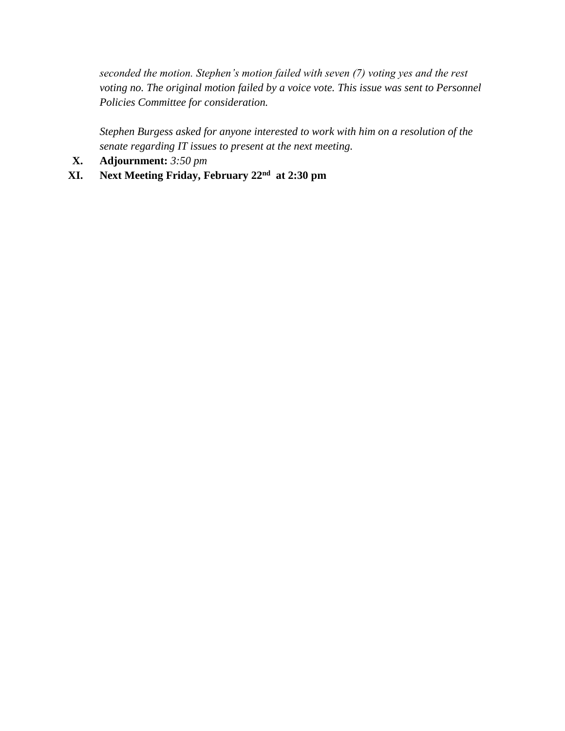*seconded the motion. Stephen's motion failed with seven (7) voting yes and the rest voting no. The original motion failed by a voice vote. This issue was sent to Personnel Policies Committee for consideration.* 

*Stephen Burgess asked for anyone interested to work with him on a resolution of the senate regarding IT issues to present at the next meeting.* 

- **X. Adjournment:** *3:50 pm*
- **XI. Next Meeting Friday, February 22nd at 2:30 pm**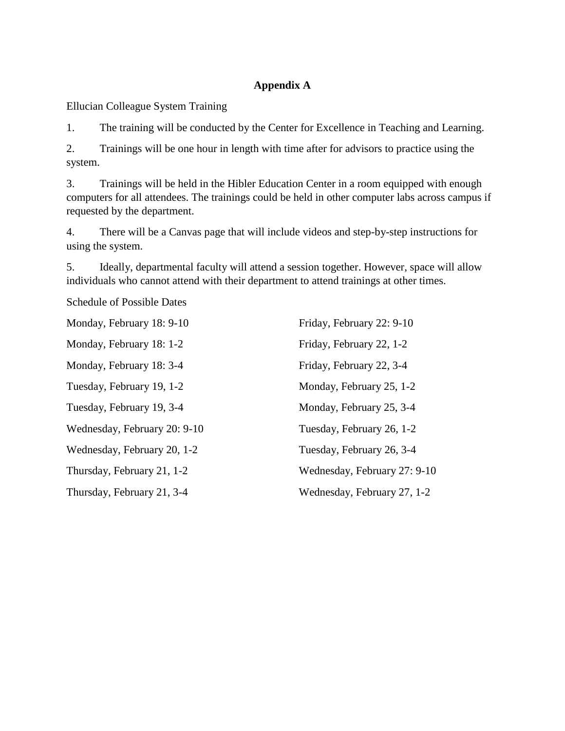# **Appendix A**

Ellucian Colleague System Training

1. The training will be conducted by the Center for Excellence in Teaching and Learning.

2. Trainings will be one hour in length with time after for advisors to practice using the system.

3. Trainings will be held in the Hibler Education Center in a room equipped with enough computers for all attendees. The trainings could be held in other computer labs across campus if requested by the department.

4. There will be a Canvas page that will include videos and step-by-step instructions for using the system.

5. Ideally, departmental faculty will attend a session together. However, space will allow individuals who cannot attend with their department to attend trainings at other times.

Schedule of Possible Dates

| Monday, February 18: 9-10    | Friday, February 22: 9-10    |
|------------------------------|------------------------------|
| Monday, February 18: 1-2     | Friday, February 22, 1-2     |
| Monday, February 18: 3-4     | Friday, February 22, 3-4     |
| Tuesday, February 19, 1-2    | Monday, February 25, 1-2     |
| Tuesday, February 19, 3-4    | Monday, February 25, 3-4     |
| Wednesday, February 20: 9-10 | Tuesday, February 26, 1-2    |
| Wednesday, February 20, 1-2  | Tuesday, February 26, 3-4    |
| Thursday, February 21, 1-2   | Wednesday, February 27: 9-10 |
| Thursday, February 21, 3-4   | Wednesday, February 27, 1-2  |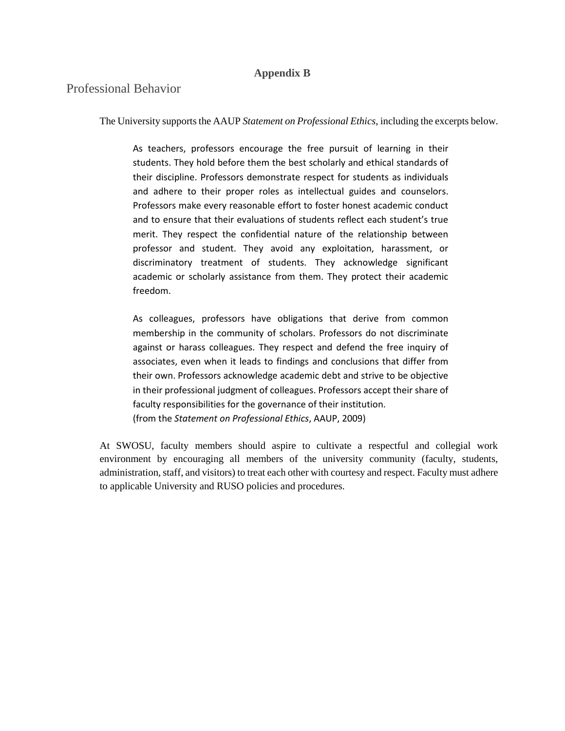### **Appendix B**

# Professional Behavior

The University supports the AAUP *Statement on Professional Ethics*, including the excerpts below.

As teachers, professors encourage the free pursuit of learning in their students. They hold before them the best scholarly and ethical standards of their discipline. Professors demonstrate respect for students as individuals and adhere to their proper roles as intellectual guides and counselors. Professors make every reasonable effort to foster honest academic conduct and to ensure that their evaluations of students reflect each student's true merit. They respect the confidential nature of the relationship between professor and student. They avoid any exploitation, harassment, or discriminatory treatment of students. They acknowledge significant academic or scholarly assistance from them. They protect their academic freedom.

As colleagues, professors have obligations that derive from common membership in the community of scholars. Professors do not discriminate against or harass colleagues. They respect and defend the free inquiry of associates, even when it leads to findings and conclusions that differ from their own. Professors acknowledge academic debt and strive to be objective in their professional judgment of colleagues. Professors accept their share of faculty responsibilities for the governance of their institution. (from the *Statement on Professional Ethics*, AAUP, 2009)

At SWOSU, faculty members should aspire to cultivate a respectful and collegial work environment by encouraging all members of the university community (faculty, students, administration, staff, and visitors) to treat each other with courtesy and respect. Faculty must adhere to applicable University and RUSO policies and procedures.